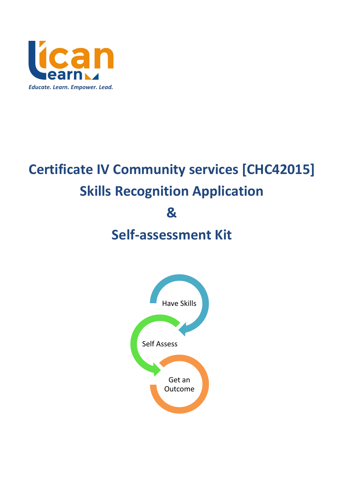

# **Certificate IV Community services [CHC42015] Skills Recognition Application**

**&** 

# **Self-assessment Kit**

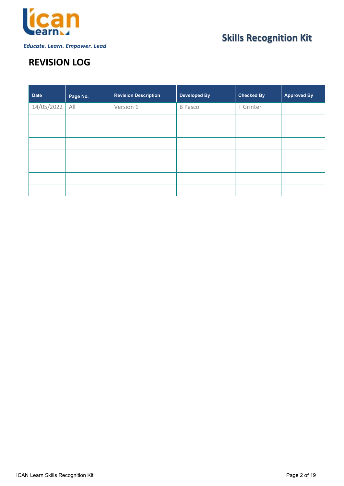

# **REVISION LOG**

| <b>Date</b> | Page No. | <b>Revision Description</b> | <b>Developed By</b> | <b>Checked By</b> | <b>Approved By</b> |
|-------------|----------|-----------------------------|---------------------|-------------------|--------------------|
| 14/05/2022  | All      | Version 1                   | <b>B</b> Pasco      | T Grinter         |                    |
|             |          |                             |                     |                   |                    |
|             |          |                             |                     |                   |                    |
|             |          |                             |                     |                   |                    |
|             |          |                             |                     |                   |                    |
|             |          |                             |                     |                   |                    |
|             |          |                             |                     |                   |                    |
|             |          |                             |                     |                   |                    |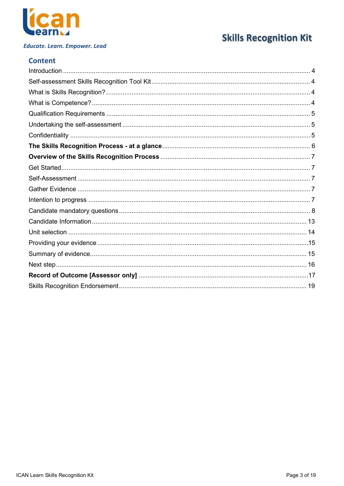

# **Skills Recognition Kit**

### **Content**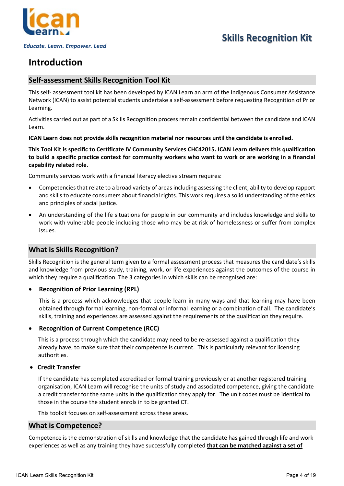

### <span id="page-3-0"></span>**Introduction**

### <span id="page-3-1"></span>**Self-assessment Skills Recognition Tool Kit**

This self- assessment tool kit has been developed by ICAN Learn an arm of the Indigenous Consumer Assistance Network (ICAN) to assist potential students undertake a self-assessment before requesting Recognition of Prior Learning.

Activities carried out as part of a Skills Recognition process remain confidential between the candidate and ICAN Learn.

#### **ICAN Learn does not provide skills recognition material nor resources until the candidate is enrolled.**

**This Tool Kit is specific to Certificate IV Community Services CHC42015. ICAN Learn delivers this qualification to build a specific practice context for community workers who want to work or are working in a financial capability related role.** 

Community services work with a financial literacy elective stream requires:

- Competencies that relate to a broad variety of areas including assessing the client, ability to develop rapport and skills to educate consumers about financial rights. This work requires a solid understanding of the ethics and principles of social justice.
- An understanding of the life situations for people in our community and includes knowledge and skills to work with vulnerable people including those who may be at risk of homelessness or suffer from complex issues.

### <span id="page-3-2"></span>**What is Skills Recognition?**

Skills Recognition is the general term given to a formal assessment process that measures the candidate's skills and knowledge from previous study, training, work, or life experiences against the outcomes of the course in which they require a qualification. The 3 categories in which skills can be recognised are:

#### • **Recognition of Prior Learning (RPL)**

This is a process which acknowledges that people learn in many ways and that learning may have been obtained through formal learning, non-formal or informal learning or a combination of all. The candidate's skills, training and experiences are assessed against the requirements of the qualification they require.

#### • **Recognition of Current Competence (RCC)**

This is a process through which the candidate may need to be re-assessed against a qualification they already have, to make sure that their competence is current. This is particularly relevant for licensing authorities.

#### • **Credit Transfer**

If the candidate has completed accredited or formal training previously or at another registered training organisation, ICAN Learn will recognise the units of study and associated competence, giving the candidate a credit transfer for the same units in the qualification they apply for. The unit codes must be identical to those in the course the student enrols in to be granted CT.

This toolkit focuses on self-assessment across these areas.

### <span id="page-3-3"></span>**What is Competence?**

Competence is the demonstration of skills and knowledge that the candidate has gained through life and work experiences as well as any training they have successfully completed **that can be matched against a set of**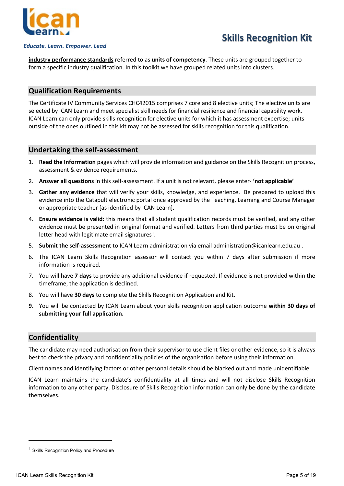

#### *Educate. Learn. Empower. Lead*

**industry performance standards** referred to as **units of competency**. These units are grouped together to form a specific industry qualification. In this toolkit we have grouped related units into clusters.

#### <span id="page-4-0"></span>**Qualification Requirements**

The Certificate IV Community Services CHC42015 comprises 7 core and 8 elective units; The elective units are selected by ICAN Learn and meet specialist skill needs for financial resilience and financial capability work. ICAN Learn can only provide skills recognition for elective units for which it has assessment expertise; units outside of the ones outlined in this kit may not be assessed for skills recognition for this qualification.

#### <span id="page-4-1"></span>**Undertaking the self-assessment**

- 1. **Read the Information** pages which will provide information and guidance on the Skills Recognition process, assessment & evidence requirements.
- 2. **Answer all questions** in this self-assessment. If a unit is not relevant, please enter- **'not applicable'**
- 3. **Gather any evidence** that will verify your skills, knowledge, and experience. Be prepared to upload this evidence into the Catapult electronic portal once approved by the Teaching, Learning and Course Manager or appropriate teacher [as identified by ICAN Learn]**.**
- 4. **Ensure evidence is valid:** this means that all student qualification records must be verified, and any other evidence must be presented in original format and verified. Letters from third parties must be on original letter head with legitimate email signatures<sup>[1](#page-4-3)</sup>.
- 5. **Submit the self-assessment** to ICAN Learn administration via email [administration@icanlearn.edu.au .](mailto:administration@icanlearn.edu.au)
- 6. The ICAN Learn Skills Recognition assessor will contact you within 7 days after submission if more information is required.
- 7. You will have **7 days** to provide any additional evidence if requested. If evidence is not provided within the timeframe, the application is declined.
- 8. You will have **30 days** to complete the Skills Recognition Application and Kit.
- **9.** You will be contacted by ICAN Learn about your skills recognition application outcome **within 30 days of submitting your full application.**

#### <span id="page-4-2"></span>**Confidentiality**

The candidate may need authorisation from their supervisor to use client files or other evidence, so it is always best to check the privacy and confidentiality policies of the organisation before using their information.

Client names and identifying factors or other personal details should be blacked out and made unidentifiable.

ICAN Learn maintains the candidate's confidentiality at all times and will not disclose Skills Recognition information to any other party. Disclosure of Skills Recognition information can only be done by the candidate themselves.

<span id="page-4-3"></span><sup>&</sup>lt;sup>1</sup> Skills Recognition Policy and Procedure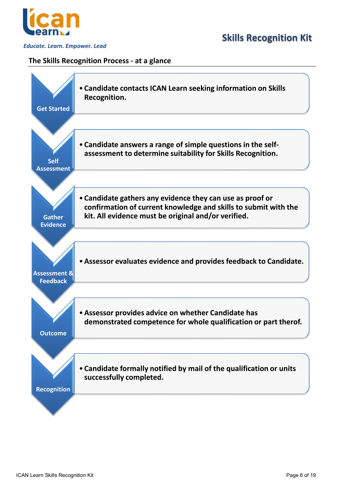

#### <span id="page-5-0"></span>**The Skills Recognition Process - at a glance**

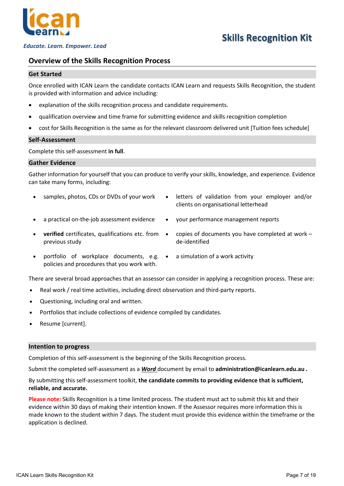

# **Skills Recognition Kit**

#### <span id="page-6-0"></span>**Overview of the Skills Recognition Process**

#### <span id="page-6-1"></span>**Get Started**

Once enrolled with ICAN Learn the candidate contacts ICAN Learn and requests Skills Recognition, the student is provided with information and advice including:

- explanation of the skills recognition process and candidate requirements.
- qualification overview and time frame for submitting evidence and skills recognition completion
- cost for Skills Recognition is the same as for the relevant classroom delivered unit [Tuition fees schedule]

#### <span id="page-6-2"></span>**Self-Assessment**

Complete this self-assessment **in full**.

#### <span id="page-6-3"></span>**Gather Evidence**

Gather information for yourself that you can produce to verify your skills, knowledge, and experience. Evidence can take many forms, including:

- 
- samples, photos, CDs or DVDs of your work letters of validation from your employer and/or clients on organisational letterhead
	- a practical on-the-job assessment evidence your performance management reports
- **verified** certificates, qualifications etc. from previous study
- copies of documents you have completed at work de-identified
- portfolio of workplace documents, e.g. policies and procedures that you work with.
	-

a simulation of a work activity

There are several broad approaches that an assessor can consider in applying a recognition process. These are:

- Real work / real time activities, including direct observation and third-party reports.
- Questioning, including oral and written.
- Portfolios that include collections of evidence compiled by candidates.
- Resume [current].

#### <span id="page-6-4"></span>**Intention to progress**

Completion of this self-assessment is the beginning of the Skills Recognition process.

Submit the completed self-assessment as a *Word* document by email to **[administration@icanlearn.edu.au](mailto:administration@icanlearn.edu.au) .**

By submitting this self-assessment toolkit, **the candidate commits to providing evidence that is sufficient, reliable, and accurate.** 

**Please note:** Skills Recognition is a time limited process. The student must act to submit this kit and their evidence within 30 days of making their intention known. If the Assessor requires more information this is made known to the student within 7 days. The student must provide this evidence within the timeframe or the application is declined.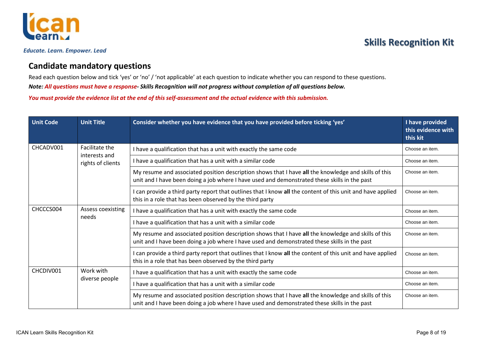

### **Candidate mandatory questions**

Read each question below and tick 'yes' or 'no' / 'not applicable' at each question to indicate whether you can respond to these questions.

*Note: All questions must have a response- Skills Recognition will not progress without completion of all questions below.* 

*You must provide the evidence list at the end of this self-assessment and the actual evidence with this submission.* 

<span id="page-7-0"></span>

| <b>Unit Code</b>               | <b>Unit Title</b>                                                   | Consider whether you have evidence that you have provided before ticking 'yes'                                                                                                                       | I have provided<br>this evidence with<br>this kit |  |  |
|--------------------------------|---------------------------------------------------------------------|------------------------------------------------------------------------------------------------------------------------------------------------------------------------------------------------------|---------------------------------------------------|--|--|
| CHCADV001                      | Facilitate the                                                      | I have a qualification that has a unit with exactly the same code                                                                                                                                    | Choose an item.                                   |  |  |
|                                | interests and<br>rights of clients                                  | I have a qualification that has a unit with a similar code                                                                                                                                           | Choose an item.                                   |  |  |
|                                |                                                                     | My resume and associated position description shows that I have all the knowledge and skills of this<br>unit and I have been doing a job where I have used and demonstrated these skills in the past | Choose an item.                                   |  |  |
|                                |                                                                     | I can provide a third party report that outlines that I know all the content of this unit and have applied<br>this in a role that has been observed by the third party                               | Choose an item.                                   |  |  |
| CHCCCS004<br>Assess coexisting |                                                                     | I have a qualification that has a unit with exactly the same code                                                                                                                                    | Choose an item.                                   |  |  |
|                                | needs<br>I have a qualification that has a unit with a similar code |                                                                                                                                                                                                      |                                                   |  |  |
|                                |                                                                     | My resume and associated position description shows that I have all the knowledge and skills of this<br>unit and I have been doing a job where I have used and demonstrated these skills in the past | Choose an item.                                   |  |  |
|                                |                                                                     | I can provide a third party report that outlines that I know all the content of this unit and have applied<br>this in a role that has been observed by the third party                               | Choose an item.                                   |  |  |
| CHCDIV001<br>Work with         |                                                                     | I have a qualification that has a unit with exactly the same code                                                                                                                                    | Choose an item.                                   |  |  |
|                                | diverse people                                                      | I have a qualification that has a unit with a similar code                                                                                                                                           | Choose an item.                                   |  |  |
|                                |                                                                     | My resume and associated position description shows that I have all the knowledge and skills of this<br>unit and I have been doing a job where I have used and demonstrated these skills in the past | Choose an item.                                   |  |  |

# **Skills Recognition Kit**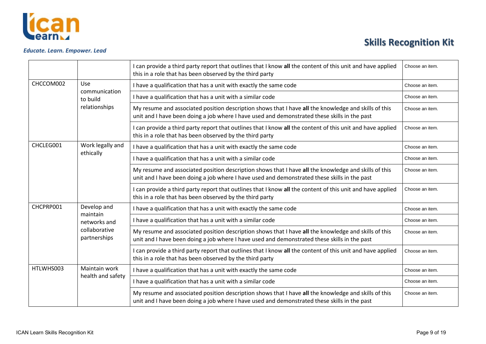

|                               |                               | I can provide a third party report that outlines that I know all the content of this unit and have applied<br>this in a role that has been observed by the third party                               | Choose an item. |
|-------------------------------|-------------------------------|------------------------------------------------------------------------------------------------------------------------------------------------------------------------------------------------------|-----------------|
| CHCCOM002<br><b>Use</b>       |                               | I have a qualification that has a unit with exactly the same code                                                                                                                                    | Choose an item. |
|                               | communication<br>to build     | I have a qualification that has a unit with a similar code                                                                                                                                           | Choose an item. |
|                               | relationships                 | My resume and associated position description shows that I have all the knowledge and skills of this<br>unit and I have been doing a job where I have used and demonstrated these skills in the past | Choose an item. |
|                               |                               | I can provide a third party report that outlines that I know all the content of this unit and have applied<br>this in a role that has been observed by the third party                               | Choose an item. |
| CHCLEG001<br>Work legally and |                               | I have a qualification that has a unit with exactly the same code                                                                                                                                    | Choose an item. |
|                               | ethically                     | I have a qualification that has a unit with a similar code                                                                                                                                           | Choose an item. |
|                               |                               | My resume and associated position description shows that I have all the knowledge and skills of this<br>unit and I have been doing a job where I have used and demonstrated these skills in the past | Choose an item. |
|                               |                               | I can provide a third party report that outlines that I know all the content of this unit and have applied<br>this in a role that has been observed by the third party                               | Choose an item. |
| CHCPRP001<br>Develop and      |                               | I have a qualification that has a unit with exactly the same code                                                                                                                                    | Choose an item. |
|                               | maintain<br>networks and      | I have a qualification that has a unit with a similar code                                                                                                                                           | Choose an item. |
|                               | collaborative<br>partnerships | My resume and associated position description shows that I have all the knowledge and skills of this<br>unit and I have been doing a job where I have used and demonstrated these skills in the past | Choose an item. |
|                               |                               | I can provide a third party report that outlines that I know all the content of this unit and have applied<br>this in a role that has been observed by the third party                               | Choose an item. |
| HTLWHS003                     | Maintain work                 | I have a qualification that has a unit with exactly the same code                                                                                                                                    | Choose an item. |
|                               | health and safety             | I have a qualification that has a unit with a similar code                                                                                                                                           | Choose an item. |
|                               |                               | My resume and associated position description shows that I have all the knowledge and skills of this<br>unit and I have been doing a job where I have used and demonstrated these skills in the past | Choose an item. |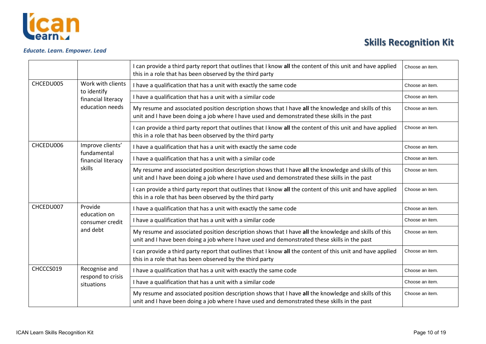

|                                               |                                   | I can provide a third party report that outlines that I know all the content of this unit and have applied<br>this in a role that has been observed by the third party                               | Choose an item. |
|-----------------------------------------------|-----------------------------------|------------------------------------------------------------------------------------------------------------------------------------------------------------------------------------------------------|-----------------|
| CHCEDU005<br>Work with clients<br>to identify |                                   | I have a qualification that has a unit with exactly the same code                                                                                                                                    | Choose an item. |
|                                               | financial literacy                | I have a qualification that has a unit with a similar code                                                                                                                                           | Choose an item. |
|                                               | education needs                   | My resume and associated position description shows that I have all the knowledge and skills of this<br>unit and I have been doing a job where I have used and demonstrated these skills in the past | Choose an item. |
|                                               |                                   | I can provide a third party report that outlines that I know all the content of this unit and have applied<br>this in a role that has been observed by the third party                               | Choose an item. |
| CHCEDU006                                     | Improve clients'                  | I have a qualification that has a unit with exactly the same code                                                                                                                                    | Choose an item. |
|                                               | fundamental<br>financial literacy | I have a qualification that has a unit with a similar code                                                                                                                                           | Choose an item. |
|                                               | skills                            | My resume and associated position description shows that I have all the knowledge and skills of this<br>unit and I have been doing a job where I have used and demonstrated these skills in the past | Choose an item. |
|                                               |                                   | I can provide a third party report that outlines that I know all the content of this unit and have applied<br>this in a role that has been observed by the third party                               | Choose an item. |
| CHCEDU007                                     | Provide                           | I have a qualification that has a unit with exactly the same code                                                                                                                                    | Choose an item. |
|                                               | education on<br>consumer credit   | I have a qualification that has a unit with a similar code                                                                                                                                           | Choose an item. |
|                                               | and debt                          | My resume and associated position description shows that I have all the knowledge and skills of this<br>unit and I have been doing a job where I have used and demonstrated these skills in the past | Choose an item. |
|                                               |                                   | I can provide a third party report that outlines that I know all the content of this unit and have applied<br>this in a role that has been observed by the third party                               | Choose an item. |
| CHCCCS019                                     | Recognise and                     | I have a qualification that has a unit with exactly the same code                                                                                                                                    | Choose an item. |
|                                               | respond to crisis<br>situations   | I have a qualification that has a unit with a similar code                                                                                                                                           | Choose an item. |
|                                               |                                   | My resume and associated position description shows that I have all the knowledge and skills of this<br>unit and I have been doing a job where I have used and demonstrated these skills in the past | Choose an item. |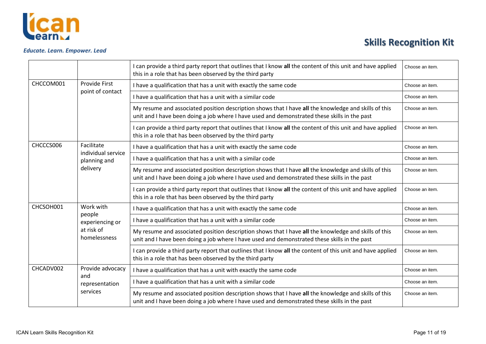

|                                  |                                                | I can provide a third party report that outlines that I know all the content of this unit and have applied<br>this in a role that has been observed by the third party                               | Choose an item. |
|----------------------------------|------------------------------------------------|------------------------------------------------------------------------------------------------------------------------------------------------------------------------------------------------------|-----------------|
| CHCCOM001                        | Provide First                                  | I have a qualification that has a unit with exactly the same code                                                                                                                                    | Choose an item. |
|                                  | point of contact                               | I have a qualification that has a unit with a similar code                                                                                                                                           | Choose an item. |
|                                  |                                                | My resume and associated position description shows that I have all the knowledge and skills of this<br>unit and I have been doing a job where I have used and demonstrated these skills in the past | Choose an item. |
|                                  |                                                | I can provide a third party report that outlines that I know all the content of this unit and have applied<br>this in a role that has been observed by the third party                               | Choose an item. |
| CHCCCS006<br>Facilitate          |                                                | I have a qualification that has a unit with exactly the same code                                                                                                                                    | Choose an item. |
|                                  | individual service<br>planning and<br>delivery | I have a qualification that has a unit with a similar code                                                                                                                                           | Choose an item. |
|                                  |                                                | My resume and associated position description shows that I have all the knowledge and skills of this<br>unit and I have been doing a job where I have used and demonstrated these skills in the past | Choose an item. |
|                                  |                                                | I can provide a third party report that outlines that I know all the content of this unit and have applied<br>this in a role that has been observed by the third party                               | Choose an item. |
| CHCSOH001<br>Work with<br>people |                                                | I have a qualification that has a unit with exactly the same code                                                                                                                                    | Choose an item. |
|                                  | experiencing or                                | I have a qualification that has a unit with a similar code                                                                                                                                           | Choose an item. |
|                                  | at risk of<br>homelessness                     | My resume and associated position description shows that I have all the knowledge and skills of this<br>unit and I have been doing a job where I have used and demonstrated these skills in the past | Choose an item. |
|                                  |                                                | I can provide a third party report that outlines that I know all the content of this unit and have applied<br>this in a role that has been observed by the third party                               | Choose an item. |
| CHCADV002                        | Provide advocacy                               | I have a qualification that has a unit with exactly the same code                                                                                                                                    | Choose an item. |
|                                  | and<br>representation                          | I have a qualification that has a unit with a similar code                                                                                                                                           | Choose an item. |
|                                  | services                                       | My resume and associated position description shows that I have all the knowledge and skills of this<br>unit and I have been doing a job where I have used and demonstrated these skills in the past | Choose an item. |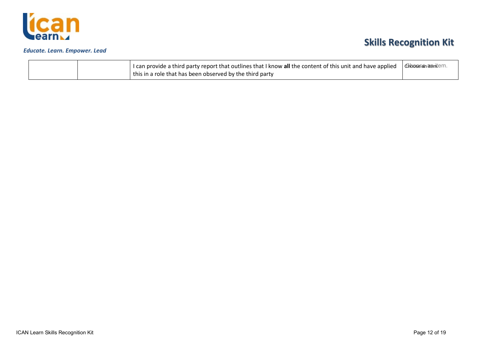

# **Skills Recognition Kit**

|  | I can provide a third party report that outlines that I know all the content of this unit and have applied   Choses an an antiem. |  |
|--|-----------------------------------------------------------------------------------------------------------------------------------|--|
|  | this in a role that has been observed by the third party                                                                          |  |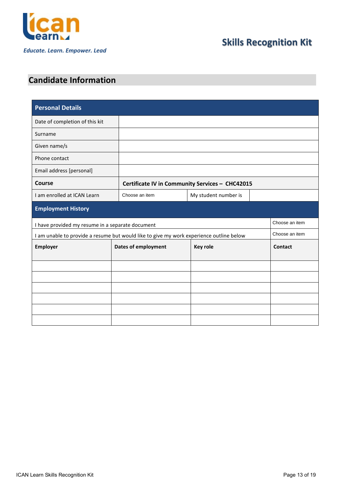

### <span id="page-12-0"></span>**Candidate Information**

| <b>Personal Details</b>                          |                            |                                                                                         |                |  |  |  |
|--------------------------------------------------|----------------------------|-----------------------------------------------------------------------------------------|----------------|--|--|--|
| Date of completion of this kit                   |                            |                                                                                         |                |  |  |  |
| Surname                                          |                            |                                                                                         |                |  |  |  |
| Given name/s                                     |                            |                                                                                         |                |  |  |  |
| Phone contact                                    |                            |                                                                                         |                |  |  |  |
| Email address [personal]                         |                            |                                                                                         |                |  |  |  |
| Course                                           |                            | Certificate IV in Community Services - CHC42015                                         |                |  |  |  |
| I am enrolled at ICAN Learn                      | Choose an item             | My student number is                                                                    |                |  |  |  |
| <b>Employment History</b>                        |                            |                                                                                         |                |  |  |  |
| I have provided my resume in a separate document |                            |                                                                                         | Choose an item |  |  |  |
|                                                  |                            | I am unable to provide a resume but would like to give my work experience outline below |                |  |  |  |
| Employer                                         | <b>Dates of employment</b> | <b>Key role</b>                                                                         | <b>Contact</b> |  |  |  |
|                                                  |                            |                                                                                         |                |  |  |  |
|                                                  |                            |                                                                                         |                |  |  |  |
|                                                  |                            |                                                                                         |                |  |  |  |
|                                                  |                            |                                                                                         |                |  |  |  |
|                                                  |                            |                                                                                         |                |  |  |  |
|                                                  |                            |                                                                                         |                |  |  |  |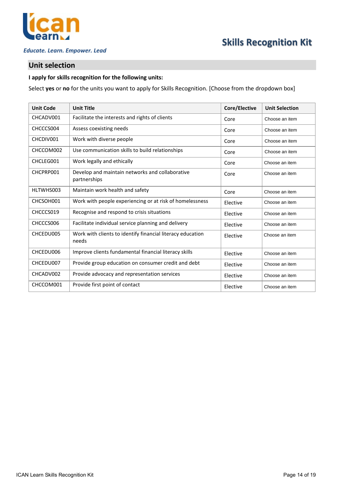

#### <span id="page-13-0"></span>**Unit selection**

### **I apply for skills recognition for the following units:**

Select **yes** or **no** for the units you want to apply for Skills Recognition. [Choose from the dropdown box]

| <b>Unit Code</b> | <b>Unit Title</b>                                                   | Core/Elective | <b>Unit Selection</b> |
|------------------|---------------------------------------------------------------------|---------------|-----------------------|
| CHCADV001        | Facilitate the interests and rights of clients                      | Core          | Choose an item        |
| CHCCCS004        | Assess coexisting needs                                             | Core          | Choose an item        |
| CHCDIV001        | Work with diverse people                                            | Core          | Choose an item        |
| CHCCOM002        | Use communication skills to build relationships                     | Core          | Choose an item        |
| CHCLEG001        | Work legally and ethically                                          | Core          | Choose an item        |
| CHCPRP001        | Develop and maintain networks and collaborative<br>partnerships     | Core          | Choose an item        |
| HLTWHS003        | Maintain work health and safety                                     | Core          | Choose an item        |
| CHCSOH001        | Work with people experiencing or at risk of homelessness            | Elective      | Choose an item        |
| CHCCCS019        | Recognise and respond to crisis situations                          | Elective      | Choose an item        |
| CHCCCS006        | Facilitate individual service planning and delivery                 | Elective      | Choose an item        |
| CHCEDU005        | Work with clients to identify financial literacy education<br>needs | Elective      | Choose an item        |
| CHCEDU006        | Improve clients fundamental financial literacy skills               | Elective      | Choose an item        |
| CHCEDU007        | Provide group education on consumer credit and debt                 | Elective      | Choose an item        |
| CHCADV002        | Provide advocacy and representation services                        | Elective      | Choose an item        |
| CHCCOM001        | Provide first point of contact                                      | Elective      | Choose an item        |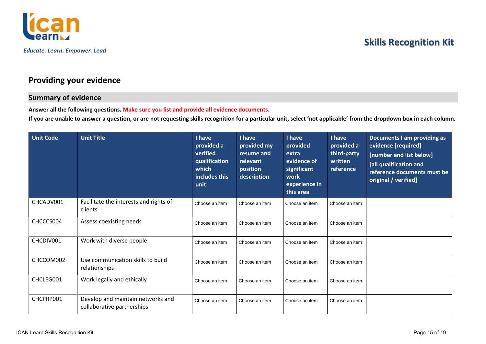



### **Providing your evidence**

### **Summary of evidence**

**Answer all the following questions. Make sure you list and provide all evidence documents.**

**If you are unable to answer a question, or are not requesting skills recognition for a particular unit, select 'not applicable' from the dropdown box in each column.**

<span id="page-14-1"></span><span id="page-14-0"></span>

| <b>Unit Code</b> | <b>Unit Title</b>                                               | I have<br>provided a<br>verified<br>qualification<br>which<br>includes this<br>unit | I have<br>provided my<br>resume and<br>relevant<br>position<br>description | I have<br>provided<br>extra<br>evidence of<br>significant<br>work<br>experience in<br>this area | I have<br>provided a<br>third-party<br>written<br>reference | <b>Documents I am providing as</b><br>evidence [required]<br>[number and list below]<br>[all qualification and<br>reference documents must be<br>original / verified] |
|------------------|-----------------------------------------------------------------|-------------------------------------------------------------------------------------|----------------------------------------------------------------------------|-------------------------------------------------------------------------------------------------|-------------------------------------------------------------|-----------------------------------------------------------------------------------------------------------------------------------------------------------------------|
| CHCADV001        | Facilitate the interests and rights of<br>clients               | Choose an item                                                                      | Choose an item                                                             | Choose an item                                                                                  | Choose an item                                              |                                                                                                                                                                       |
| CHCCCS004        | Assess coexisting needs                                         | Choose an item                                                                      | Choose an item                                                             | Choose an item                                                                                  | Choose an item                                              |                                                                                                                                                                       |
| CHCDIV001        | Work with diverse people                                        | Choose an item                                                                      | Choose an item                                                             | Choose an item                                                                                  | Choose an item                                              |                                                                                                                                                                       |
| CHCCOM002        | Use communication skills to build<br>relationships              | Choose an item                                                                      | Choose an item                                                             | Choose an item                                                                                  | Choose an item                                              |                                                                                                                                                                       |
| CHCLEG001        | Work legally and ethically                                      | Choose an item                                                                      | Choose an item                                                             | Choose an item                                                                                  | Choose an item                                              |                                                                                                                                                                       |
| CHCPRP001        | Develop and maintain networks and<br>collaborative partnerships | Choose an item                                                                      | Choose an item                                                             | Choose an item                                                                                  | Choose an item                                              |                                                                                                                                                                       |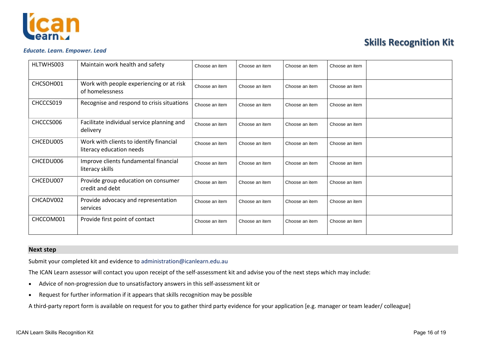

#### *Educate. Learn. Empower. Lead*

| HLTWHS003 | Maintain work health and safety                                     | Choose an item | Choose an item | Choose an item | Choose an item |  |
|-----------|---------------------------------------------------------------------|----------------|----------------|----------------|----------------|--|
| CHCSOH001 | Work with people experiencing or at risk<br>of homelessness         | Choose an item | Choose an item | Choose an item | Choose an item |  |
| CHCCCS019 | Recognise and respond to crisis situations                          | Choose an item | Choose an item | Choose an item | Choose an item |  |
| CHCCCS006 | Facilitate individual service planning and<br>delivery              | Choose an item | Choose an item | Choose an item | Choose an item |  |
| CHCEDU005 | Work with clients to identify financial<br>literacy education needs | Choose an item | Choose an item | Choose an item | Choose an item |  |
| CHCEDU006 | Improve clients fundamental financial<br>literacy skills            | Choose an item | Choose an item | Choose an item | Choose an item |  |
| CHCEDU007 | Provide group education on consumer<br>credit and debt              | Choose an item | Choose an item | Choose an item | Choose an item |  |
| CHCADV002 | Provide advocacy and representation<br>services                     | Choose an item | Choose an item | Choose an item | Choose an item |  |
| CHCCOM001 | Provide first point of contact                                      | Choose an item | Choose an item | Choose an item | Choose an item |  |

#### **Next step**

Submit your completed kit and evidence t[o administration@icanlearn.edu.au](mailto:administration@icanlearn.edu.au)

The ICAN Learn assessor will contact you upon receipt of the self-assessment kit and advise you of the next steps which may include:

- Advice of non-progression due to unsatisfactory answers in this self-assessment kit or
- Request for further information if it appears that skills recognition may be possible

<span id="page-15-0"></span>A third-party report form is available on request for you to gather third party evidence for your application [e.g. manager or team leader/ colleague]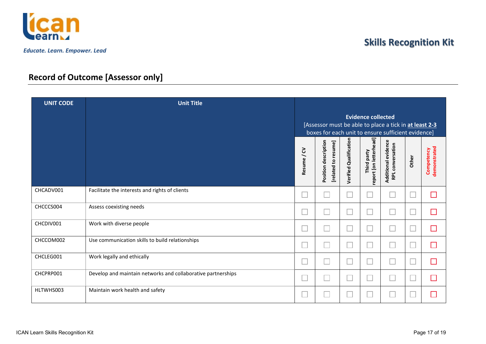

### **Record of Outcome [Assessor only]**

<span id="page-16-0"></span>

| <b>UNIT CODE</b> | <b>Unit Title</b>                                            |                                                                                                                                           |                                             |                               |                                           |                                         |       |                            |
|------------------|--------------------------------------------------------------|-------------------------------------------------------------------------------------------------------------------------------------------|---------------------------------------------|-------------------------------|-------------------------------------------|-----------------------------------------|-------|----------------------------|
|                  |                                                              | <b>Evidence collected</b><br>[Assessor must be able to place a tick in at least 2-3<br>boxes for each unit to ensure sufficient evidence] |                                             |                               |                                           |                                         |       |                            |
|                  |                                                              | 5<br><b>Resume</b>                                                                                                                        | Position description<br>[related to resume] | <b>Verified Qualification</b> | ead]<br>report [on letterh<br>Third party | Additional evidence<br>RPL conversation | Other | demonstrated<br>Competency |
| CHCADV001        | Facilitate the interests and rights of clients               |                                                                                                                                           |                                             |                               |                                           |                                         |       | ٦                          |
| CHCCCS004        | Assess coexisting needs                                      |                                                                                                                                           |                                             |                               | L                                         | Ē                                       |       | 戸                          |
| CHCDIV001        | Work with diverse people                                     |                                                                                                                                           |                                             |                               |                                           | Ē                                       |       | □                          |
| CHCCOM002        | Use communication skills to build relationships              |                                                                                                                                           |                                             |                               | Е                                         | Ē                                       |       | $\Box$                     |
| CHCLEG001        | Work legally and ethically                                   |                                                                                                                                           |                                             |                               | $\overline{a}$                            |                                         |       | ×                          |
| CHCPRP001        | Develop and maintain networks and collaborative partnerships |                                                                                                                                           |                                             |                               | L.                                        |                                         |       | ×                          |
| HLTWHS003        | Maintain work health and safety                              |                                                                                                                                           |                                             |                               | L.                                        |                                         |       | ×                          |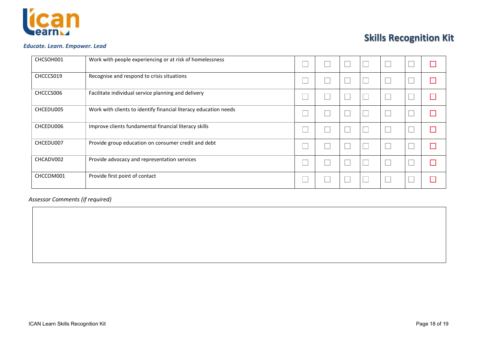

#### *Educate. Learn. Empower. Lead*

| CHCSOH001 | Work with people experiencing or at risk of homelessness         |  |   |  |  |
|-----------|------------------------------------------------------------------|--|---|--|--|
| CHCCCS019 | Recognise and respond to crisis situations                       |  | └ |  |  |
| CHCCCS006 | Facilitate individual service planning and delivery              |  | ∟ |  |  |
| CHCEDU005 | Work with clients to identify financial literacy education needs |  |   |  |  |
| CHCEDU006 | Improve clients fundamental financial literacy skills            |  |   |  |  |
| CHCEDU007 | Provide group education on consumer credit and debt              |  |   |  |  |
| CHCADV002 | Provide advocacy and representation services                     |  |   |  |  |
| CHCCOM001 | Provide first point of contact                                   |  | ∟ |  |  |

*Assessor Comments (if required)*